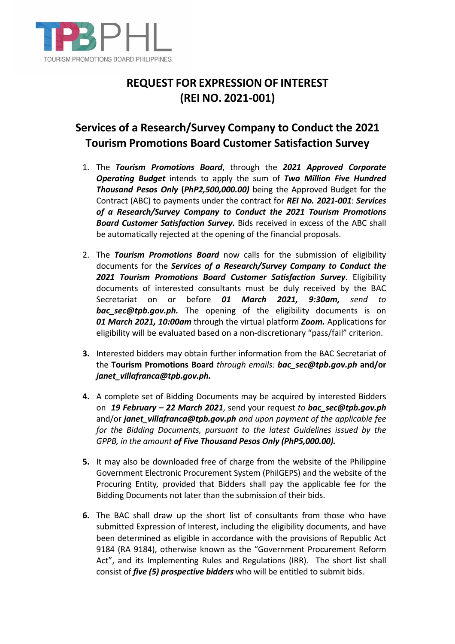

## **REQUEST FOR EXPRESSION OF INTEREST (REI NO. 2021-001)**

## **Services of a Research/Survey Company to Conduct the 2021 Tourism Promotions Board Customer Satisfaction Survey**

- 1. The *Tourism Promotions Board*, through the *2021 Approved Corporate Operating Budget* intends to apply the sum of *Two Million Five Hundred Thousand Pesos Only* **(***PhP2,500,000.00)* being the Approved Budget for the Contract (ABC) to payments under the contract for *REI No. 2021-001*: *Services of a Research/Survey Company to Conduct the 2021 Tourism Promotions Board Customer Satisfaction Survey.* Bids received in excess of the ABC shall be automatically rejected at the opening of the financial proposals.
- 2. The *Tourism Promotions Board* now calls for the submission of eligibility documents for the *Services of a Research/Survey Company to Conduct the 2021 Tourism Promotions Board Customer Satisfaction Survey*. Eligibility documents of interested consultants must be duly received by the BAC Secretariat on or before *01 March 2021, 9:30am, send to bac\_sec@tpb.gov.ph.* The opening of the eligibility documents is on *01 March 2021, 10:00am* through the virtual platform *Zoom.* Applications for eligibility will be evaluated based on a non-discretionary "pass/fail" criterion.
- **3.** Interested bidders may obtain further information from the BAC Secretariat of the **Tourism Promotions Board** *through emails: bac\_sec@tpb.gov.ph* **and/or**  *janet\_villafranca@tpb.gov.ph.*
- **4.** A complete set of Bidding Documents may be acquired by interested Bidders on *19 February – 22 March 2021*, send your request *to bac\_sec@tpb.gov.ph* and/or *janet\_villafranca@tpb.gov.ph and upon payment of the applicable fee for the Bidding Documents, pursuant to the latest Guidelines issued by the GPPB, in the amount of Five Thousand Pesos Only (PhP5,000.00).*
- **5.** It may also be downloaded free of charge from the website of the Philippine Government Electronic Procurement System (PhilGEPS) and the website of the Procuring Entity*,* provided that Bidders shall pay the applicable fee for the Bidding Documents not later than the submission of their bids.
- **6.** The BAC shall draw up the short list of consultants from those who have submitted Expression of Interest, including the eligibility documents, and have been determined as eligible in accordance with the provisions of Republic Act 9184 (RA 9184), otherwise known as the "Government Procurement Reform Act", and its Implementing Rules and Regulations (IRR). The short list shall consist of *five (5) prospective bidders* who will be entitled to submit bids.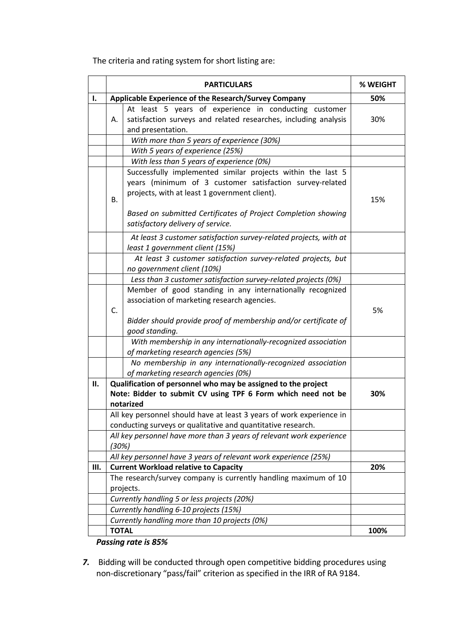The criteria and rating system for short listing are:

|    | <b>PARTICULARS</b>                                                                         | % WEIGHT |
|----|--------------------------------------------------------------------------------------------|----------|
| ı. | Applicable Experience of the Research/Survey Company                                       | 50%      |
|    | At least 5 years of experience in conducting customer                                      |          |
|    | satisfaction surveys and related researches, including analysis<br>А.<br>and presentation. | 30%      |
|    | With more than 5 years of experience (30%)                                                 |          |
|    | With 5 years of experience (25%)                                                           |          |
|    | With less than 5 years of experience (0%)                                                  |          |
|    | Successfully implemented similar projects within the last 5                                |          |
|    | years (minimum of 3 customer satisfaction survey-related                                   |          |
|    | projects, with at least 1 government client).                                              |          |
|    | B.                                                                                         | 15%      |
|    | Based on submitted Certificates of Project Completion showing                              |          |
|    | satisfactory delivery of service.                                                          |          |
|    | At least 3 customer satisfaction survey-related projects, with at                          |          |
|    | least 1 government client (15%)                                                            |          |
|    | At least 3 customer satisfaction survey-related projects, but                              |          |
|    | no government client (10%)                                                                 |          |
|    | Less than 3 customer satisfaction survey-related projects (0%)                             |          |
|    | Member of good standing in any internationally recognized                                  |          |
|    | association of marketing research agencies.                                                |          |
|    | C.                                                                                         | 5%       |
|    | Bidder should provide proof of membership and/or certificate of<br>good standing.          |          |
|    | With membership in any internationally-recognized association                              |          |
|    | of marketing research agencies (5%)                                                        |          |
|    | No membership in any internationally-recognized association                                |          |
|    | of marketing research agencies (0%)                                                        |          |
| П. | Qualification of personnel who may be assigned to the project                              |          |
|    | Note: Bidder to submit CV using TPF 6 Form which need not be                               | 30%      |
|    | notarized                                                                                  |          |
|    | All key personnel should have at least 3 years of work experience in                       |          |
|    | conducting surveys or qualitative and quantitative research.                               |          |
|    | All key personnel have more than 3 years of relevant work experience<br>(30%)              |          |
|    | All key personnel have 3 years of relevant work experience (25%)                           |          |
| Ш. | <b>Current Workload relative to Capacity</b>                                               | 20%      |
|    | The research/survey company is currently handling maximum of 10                            |          |
|    | projects.                                                                                  |          |
|    | Currently handling 5 or less projects (20%)                                                |          |
|    | Currently handling 6-10 projects (15%)                                                     |          |
|    | Currently handling more than 10 projects (0%)                                              |          |
|    | <b>TOTAL</b>                                                                               | 100%     |
|    | $\lambda + \lambda = 0F$                                                                   |          |

*Passing rate is 85%*

*7.* Bidding will be conducted through open competitive bidding procedures using non-discretionary "pass/fail" criterion as specified in the IRR of RA 9184.